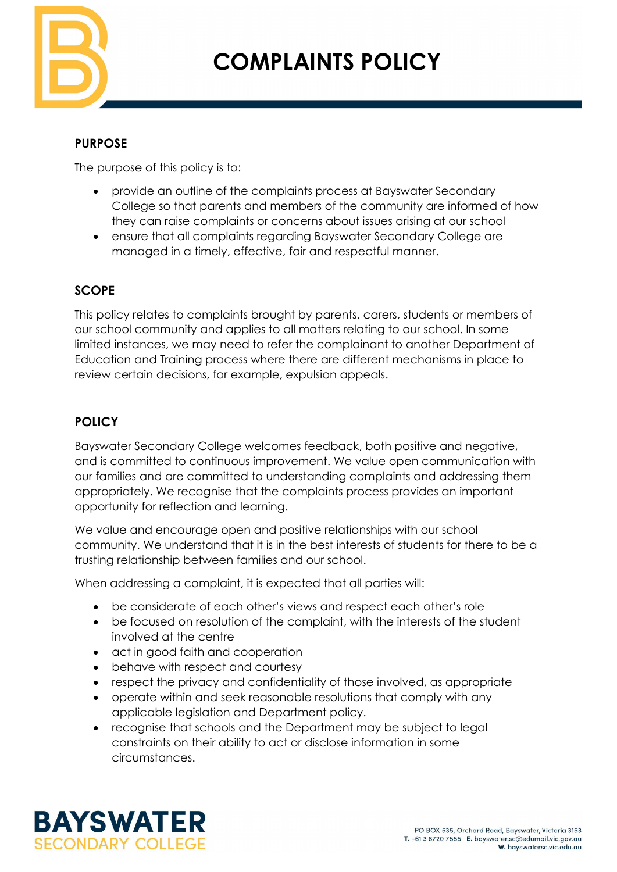

# **COMPLAINTS POLICY**

## **PURPOSE**

The purpose of this policy is to:

- provide an outline of the complaints process at Bayswater Secondary College so that parents and members of the community are informed of how they can raise complaints or concerns about issues arising at our school
- ensure that all complaints regarding Bayswater Secondary College are managed in a timely, effective, fair and respectful manner.

# **SCOPE**

This policy relates to complaints brought by parents, carers, students or members of our school community and applies to all matters relating to our school. In some limited instances, we may need to refer the complainant to another Department of Education and Training process where there are different mechanisms in place to review certain decisions, for example, expulsion appeals.

## **POLICY**

Bayswater Secondary College welcomes feedback, both positive and negative, and is committed to continuous improvement. We value open communication with our families and are committed to understanding complaints and addressing them appropriately. We recognise that the complaints process provides an important opportunity for reflection and learning.

We value and encourage open and positive relationships with our school community. We understand that it is in the best interests of students for there to be a trusting relationship between families and our school.

When addressing a complaint, it is expected that all parties will:

- be considerate of each other's views and respect each other's role
- be focused on resolution of the complaint, with the interests of the student involved at the centre
- act in good faith and cooperation
- behave with respect and courtesy
- respect the privacy and confidentiality of those involved, as appropriate
- operate within and seek reasonable resolutions that comply with any applicable legislation and Department policy.
- recognise that schools and the Department may be subject to legal constraints on their ability to act or disclose information in some circumstances.

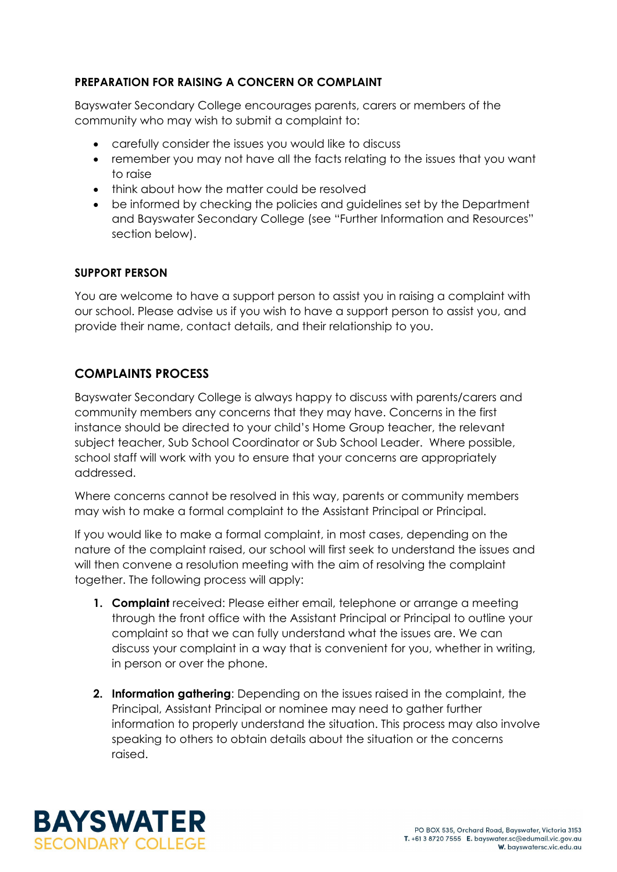#### **PREPARATION FOR RAISING A CONCERN OR COMPLAINT**

Bayswater Secondary College encourages parents, carers or members of the community who may wish to submit a complaint to:

- carefully consider the issues you would like to discuss
- remember you may not have all the facts relating to the issues that you want to raise
- think about how the matter could be resolved
- be informed by checking the policies and guidelines set by the Department and Bayswater Secondary College (see "Further Information and Resources" section below).

#### **SUPPORT PERSON**

You are welcome to have a support person to assist you in raising a complaint with our school. Please advise us if you wish to have a support person to assist you, and provide their name, contact details, and their relationship to you.

## **COMPLAINTS PROCESS**

Bayswater Secondary College is always happy to discuss with parents/carers and community members any concerns that they may have. Concerns in the first instance should be directed to your child's Home Group teacher, the relevant subject teacher, Sub School Coordinator or Sub School Leader. Where possible, school staff will work with you to ensure that your concerns are appropriately addressed.

Where concerns cannot be resolved in this way, parents or community members may wish to make a formal complaint to the Assistant Principal or Principal.

If you would like to make a formal complaint, in most cases, depending on the nature of the complaint raised, our school will first seek to understand the issues and will then convene a resolution meeting with the aim of resolving the complaint together. The following process will apply:

- **1. Complaint** received: Please either email, telephone or arrange a meeting through the front office with the Assistant Principal or Principal to outline your complaint so that we can fully understand what the issues are. We can discuss your complaint in a way that is convenient for you, whether in writing, in person or over the phone.
- **2. Information gathering**: Depending on the issues raised in the complaint, the Principal, Assistant Principal or nominee may need to gather further information to properly understand the situation. This process may also involve speaking to others to obtain details about the situation or the concerns raised.

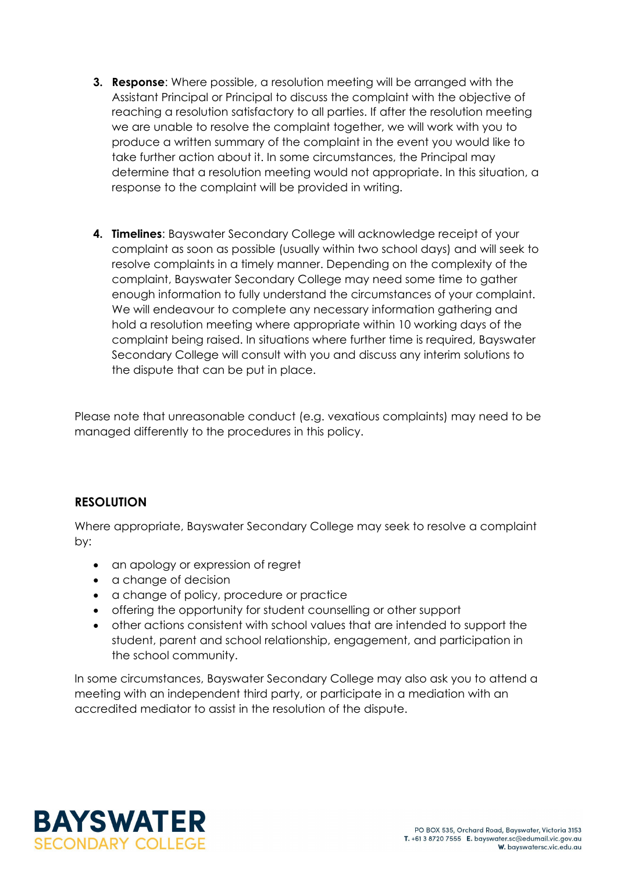- **3. Response**: Where possible, a resolution meeting will be arranged with the Assistant Principal or Principal to discuss the complaint with the objective of reaching a resolution satisfactory to all parties. If after the resolution meeting we are unable to resolve the complaint together, we will work with you to produce a written summary of the complaint in the event you would like to take further action about it. In some circumstances, the Principal may determine that a resolution meeting would not appropriate. In this situation, a response to the complaint will be provided in writing.
- **4. Timelines**: Bayswater Secondary College will acknowledge receipt of your complaint as soon as possible (usually within two school days) and will seek to resolve complaints in a timely manner. Depending on the complexity of the complaint, Bayswater Secondary College may need some time to gather enough information to fully understand the circumstances of your complaint. We will endeavour to complete any necessary information gathering and hold a resolution meeting where appropriate within 10 working days of the complaint being raised. In situations where further time is required, Bayswater Secondary College will consult with you and discuss any interim solutions to the dispute that can be put in place.

Please note that unreasonable conduct (e.g. vexatious complaints) may need to be managed differently to the procedures in this policy.

## **RESOLUTION**

Where appropriate, Bayswater Secondary College may seek to resolve a complaint by:

- an apology or expression of regret
- a change of decision
- a change of policy, procedure or practice
- offering the opportunity for student counselling or other support
- other actions consistent with school values that are intended to support the student, parent and school relationship, engagement, and participation in the school community.

In some circumstances, Bayswater Secondary College may also ask you to attend a meeting with an independent third party, or participate in a mediation with an accredited mediator to assist in the resolution of the dispute.